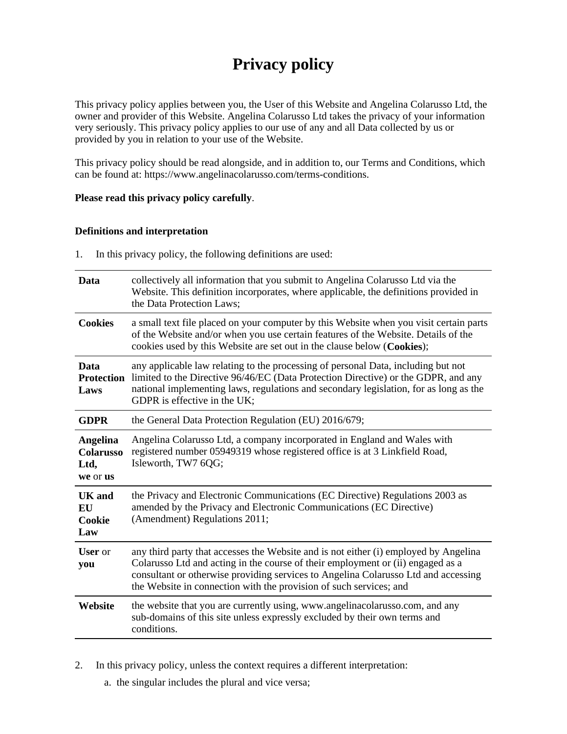# **Privacy policy**

This privacy policy applies between you, the User of this Website and Angelina Colarusso Ltd, the owner and provider of this Website. Angelina Colarusso Ltd takes the privacy of your information very seriously. This privacy policy applies to our use of any and all Data collected by us or provided by you in relation to your use of the Website.

This privacy policy should be read alongside, and in addition to, our Terms and Conditions, which can be found at: https://www.angelinacolarusso.com/terms-conditions.

#### **Please read this privacy policy carefully**.

#### **Definitions and interpretation**

1. In this privacy policy, the following definitions are used:

| Data                                                    | collectively all information that you submit to Angelina Colarusso Ltd via the<br>Website. This definition incorporates, where applicable, the definitions provided in<br>the Data Protection Laws:                                                                                                                                 |
|---------------------------------------------------------|-------------------------------------------------------------------------------------------------------------------------------------------------------------------------------------------------------------------------------------------------------------------------------------------------------------------------------------|
| <b>Cookies</b>                                          | a small text file placed on your computer by this Website when you visit certain parts<br>of the Website and/or when you use certain features of the Website. Details of the<br>cookies used by this Website are set out in the clause below (Cookies);                                                                             |
| Data<br><b>Protection</b><br>Laws                       | any applicable law relating to the processing of personal Data, including but not<br>limited to the Directive 96/46/EC (Data Protection Directive) or the GDPR, and any<br>national implementing laws, regulations and secondary legislation, for as long as the<br>GDPR is effective in the UK;                                    |
| <b>GDPR</b>                                             | the General Data Protection Regulation (EU) 2016/679;                                                                                                                                                                                                                                                                               |
| <b>Angelina</b><br><b>Colarusso</b><br>Ltd,<br>we or us | Angelina Colarusso Ltd, a company incorporated in England and Wales with<br>registered number 05949319 whose registered office is at 3 Linkfield Road,<br>Isleworth, TW7 6QG;                                                                                                                                                       |
| UK and<br><b>EU</b><br>Cookie<br>Law                    | the Privacy and Electronic Communications (EC Directive) Regulations 2003 as<br>amended by the Privacy and Electronic Communications (EC Directive)<br>(Amendment) Regulations 2011;                                                                                                                                                |
| <b>User</b> or<br>you                                   | any third party that accesses the Website and is not either (i) employed by Angelina<br>Colarusso Ltd and acting in the course of their employment or (ii) engaged as a<br>consultant or otherwise providing services to Angelina Colarusso Ltd and accessing<br>the Website in connection with the provision of such services; and |
| Website                                                 | the website that you are currently using, www.angelinacolarusso.com, and any<br>sub-domains of this site unless expressly excluded by their own terms and<br>conditions.                                                                                                                                                            |

2. In this privacy policy, unless the context requires a different interpretation:

a. the singular includes the plural and vice versa;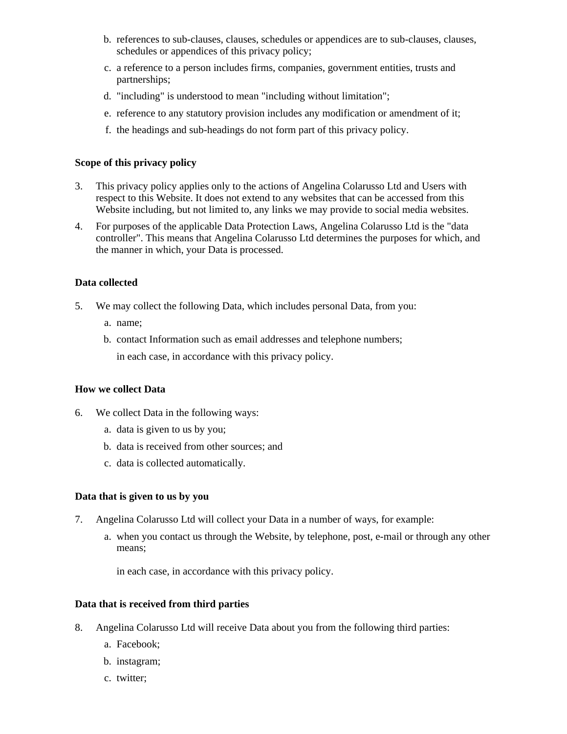- b. references to sub-clauses, clauses, schedules or appendices are to sub-clauses, clauses, schedules or appendices of this privacy policy;
- c. a reference to a person includes firms, companies, government entities, trusts and partnerships;
- d. "including" is understood to mean "including without limitation";
- e. reference to any statutory provision includes any modification or amendment of it;
- f. the headings and sub-headings do not form part of this privacy policy.

# **Scope of this privacy policy**

- 3. This privacy policy applies only to the actions of Angelina Colarusso Ltd and Users with respect to this Website. It does not extend to any websites that can be accessed from this Website including, but not limited to, any links we may provide to social media websites.
- 4. For purposes of the applicable Data Protection Laws, Angelina Colarusso Ltd is the "data controller". This means that Angelina Colarusso Ltd determines the purposes for which, and the manner in which, your Data is processed.

# **Data collected**

- 5. We may collect the following Data, which includes personal Data, from you:
	- a. name;
	- b. contact Information such as email addresses and telephone numbers;

in each case, in accordance with this privacy policy.

#### **How we collect Data**

- 6. We collect Data in the following ways:
	- a. data is given to us by you;
	- b. data is received from other sources; and
	- c. data is collected automatically.

#### **Data that is given to us by you**

- 7. Angelina Colarusso Ltd will collect your Data in a number of ways, for example:
	- a. when you contact us through the Website, by telephone, post, e-mail or through any other means;

in each case, in accordance with this privacy policy.

# **Data that is received from third parties**

- 8. Angelina Colarusso Ltd will receive Data about you from the following third parties:
	- a. Facebook;
	- b. instagram;
	- c. twitter;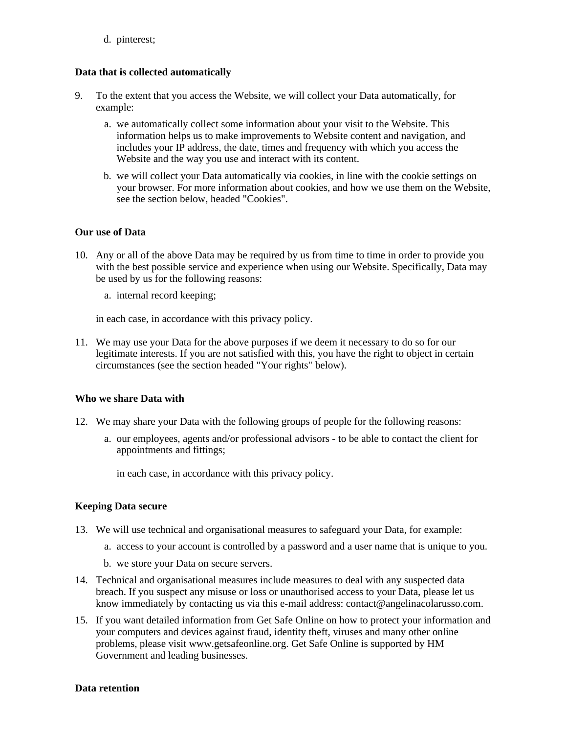d. pinterest;

#### **Data that is collected automatically**

- 9. To the extent that you access the Website, we will collect your Data automatically, for example:
	- a. we automatically collect some information about your visit to the Website. This information helps us to make improvements to Website content and navigation, and includes your IP address, the date, times and frequency with which you access the Website and the way you use and interact with its content.
	- b. we will collect your Data automatically via cookies, in line with the cookie settings on your browser. For more information about cookies, and how we use them on the Website, see the section below, headed "Cookies".

# **Our use of Data**

- 10. Any or all of the above Data may be required by us from time to time in order to provide you with the best possible service and experience when using our Website. Specifically, Data may be used by us for the following reasons:
	- a. internal record keeping;

in each case, in accordance with this privacy policy.

11. We may use your Data for the above purposes if we deem it necessary to do so for our legitimate interests. If you are not satisfied with this, you have the right to object in certain circumstances (see the section headed "Your rights" below).

#### **Who we share Data with**

- 12. We may share your Data with the following groups of people for the following reasons:
	- a. our employees, agents and/or professional advisors to be able to contact the client for appointments and fittings;

in each case, in accordance with this privacy policy.

#### **Keeping Data secure**

- 13. We will use technical and organisational measures to safeguard your Data, for example:
	- a. access to your account is controlled by a password and a user name that is unique to you.
	- b. we store your Data on secure servers.
- 14. Technical and organisational measures include measures to deal with any suspected data breach. If you suspect any misuse or loss or unauthorised access to your Data, please let us know immediately by contacting us via this e-mail address: contact@angelinacolarusso.com.
- 15. If you want detailed information from Get Safe Online on how to protect your information and your computers and devices against fraud, identity theft, viruses and many other online problems, please visit www.getsafeonline.org. Get Safe Online is supported by HM Government and leading businesses.

#### **Data retention**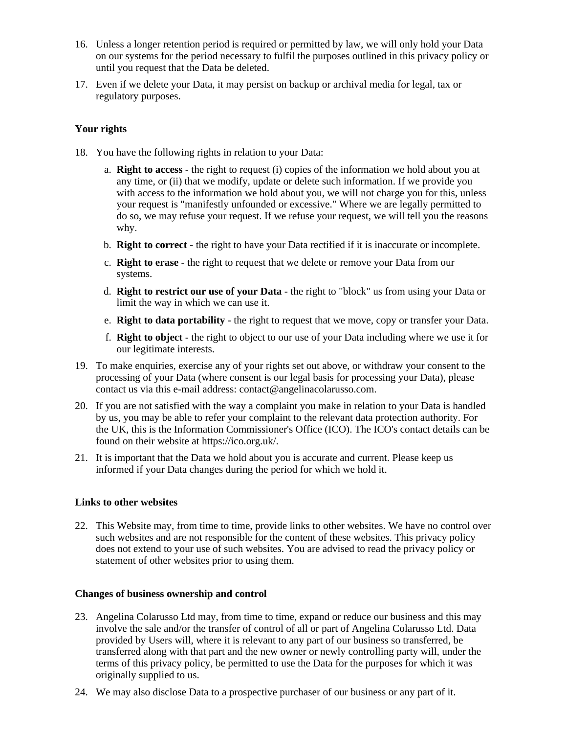- 16. Unless a longer retention period is required or permitted by law, we will only hold your Data on our systems for the period necessary to fulfil the purposes outlined in this privacy policy or until you request that the Data be deleted.
- 17. Even if we delete your Data, it may persist on backup or archival media for legal, tax or regulatory purposes.

# **Your rights**

- 18. You have the following rights in relation to your Data:
	- a. **Right to access** the right to request (i) copies of the information we hold about you at any time, or (ii) that we modify, update or delete such information. If we provide you with access to the information we hold about you, we will not charge you for this, unless your request is "manifestly unfounded or excessive." Where we are legally permitted to do so, we may refuse your request. If we refuse your request, we will tell you the reasons why.
	- b. **Right to correct** the right to have your Data rectified if it is inaccurate or incomplete.
	- c. **Right to erase** the right to request that we delete or remove your Data from our systems.
	- d. **Right to restrict our use of your Data** the right to "block" us from using your Data or limit the way in which we can use it.
	- e. **Right to data portability** the right to request that we move, copy or transfer your Data.
	- f. **Right to object** the right to object to our use of your Data including where we use it for our legitimate interests.
- 19. To make enquiries, exercise any of your rights set out above, or withdraw your consent to the processing of your Data (where consent is our legal basis for processing your Data), please contact us via this e-mail address: contact@angelinacolarusso.com.
- 20. If you are not satisfied with the way a complaint you make in relation to your Data is handled by us, you may be able to refer your complaint to the relevant data protection authority. For the UK, this is the Information Commissioner's Office (ICO). The ICO's contact details can be found on their website at https://ico.org.uk/.
- 21. It is important that the Data we hold about you is accurate and current. Please keep us informed if your Data changes during the period for which we hold it.

#### **Links to other websites**

22. This Website may, from time to time, provide links to other websites. We have no control over such websites and are not responsible for the content of these websites. This privacy policy does not extend to your use of such websites. You are advised to read the privacy policy or statement of other websites prior to using them.

#### **Changes of business ownership and control**

- 23. Angelina Colarusso Ltd may, from time to time, expand or reduce our business and this may involve the sale and/or the transfer of control of all or part of Angelina Colarusso Ltd. Data provided by Users will, where it is relevant to any part of our business so transferred, be transferred along with that part and the new owner or newly controlling party will, under the terms of this privacy policy, be permitted to use the Data for the purposes for which it was originally supplied to us.
- 24. We may also disclose Data to a prospective purchaser of our business or any part of it.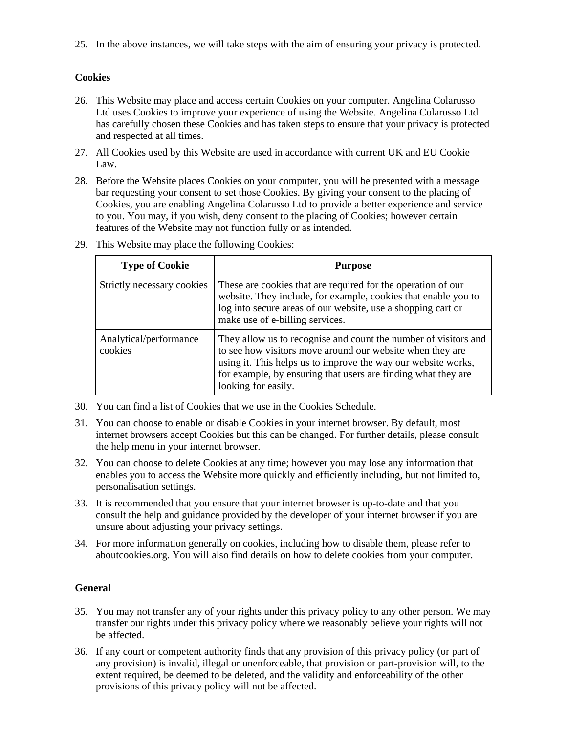25. In the above instances, we will take steps with the aim of ensuring your privacy is protected.

# **Cookies**

- 26. This Website may place and access certain Cookies on your computer. Angelina Colarusso Ltd uses Cookies to improve your experience of using the Website. Angelina Colarusso Ltd has carefully chosen these Cookies and has taken steps to ensure that your privacy is protected and respected at all times.
- 27. All Cookies used by this Website are used in accordance with current UK and EU Cookie Law.
- 28. Before the Website places Cookies on your computer, you will be presented with a message bar requesting your consent to set those Cookies. By giving your consent to the placing of Cookies, you are enabling Angelina Colarusso Ltd to provide a better experience and service to you. You may, if you wish, deny consent to the placing of Cookies; however certain features of the Website may not function fully or as intended.

| <b>Type of Cookie</b>             | <b>Purpose</b>                                                                                                                                                                                                                                                                        |
|-----------------------------------|---------------------------------------------------------------------------------------------------------------------------------------------------------------------------------------------------------------------------------------------------------------------------------------|
| Strictly necessary cookies        | These are cookies that are required for the operation of our<br>website. They include, for example, cookies that enable you to<br>log into secure areas of our website, use a shopping cart or<br>make use of e-billing services.                                                     |
| Analytical/performance<br>cookies | They allow us to recognise and count the number of visitors and<br>to see how visitors move around our website when they are<br>using it. This helps us to improve the way our website works,<br>for example, by ensuring that users are finding what they are<br>looking for easily. |

29. This Website may place the following Cookies:

- 30. You can find a list of Cookies that we use in the Cookies Schedule.
- 31. You can choose to enable or disable Cookies in your internet browser. By default, most internet browsers accept Cookies but this can be changed. For further details, please consult the help menu in your internet browser.
- 32. You can choose to delete Cookies at any time; however you may lose any information that enables you to access the Website more quickly and efficiently including, but not limited to, personalisation settings.
- 33. It is recommended that you ensure that your internet browser is up-to-date and that you consult the help and guidance provided by the developer of your internet browser if you are unsure about adjusting your privacy settings.
- 34. For more information generally on cookies, including how to disable them, please refer to aboutcookies.org. You will also find details on how to delete cookies from your computer.

# **General**

- 35. You may not transfer any of your rights under this privacy policy to any other person. We may transfer our rights under this privacy policy where we reasonably believe your rights will not be affected.
- 36. If any court or competent authority finds that any provision of this privacy policy (or part of any provision) is invalid, illegal or unenforceable, that provision or part-provision will, to the extent required, be deemed to be deleted, and the validity and enforceability of the other provisions of this privacy policy will not be affected.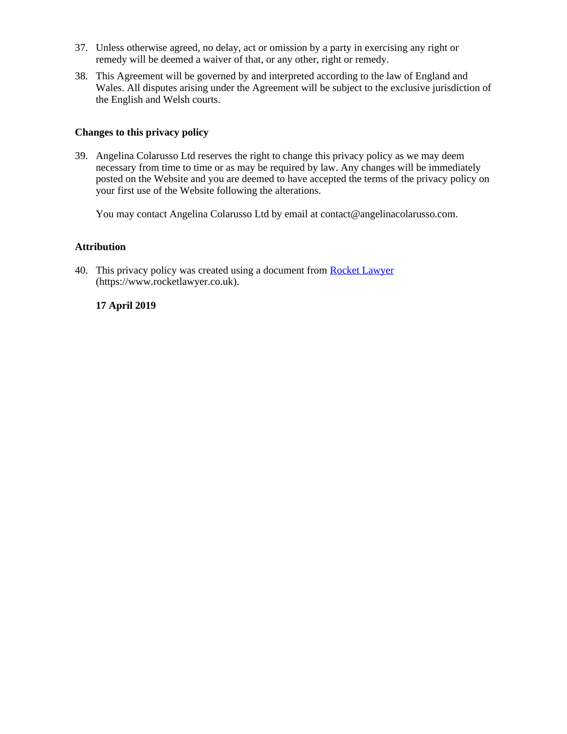- 37. Unless otherwise agreed, no delay, act or omission by a party in exercising any right or remedy will be deemed a waiver of that, or any other, right or remedy.
- 38. This Agreement will be governed by and interpreted according to the law of England and Wales. All disputes arising under the Agreement will be subject to the exclusive jurisdiction of the English and Welsh courts.

#### **Changes to this privacy policy**

39. Angelina Colarusso Ltd reserves the right to change this privacy policy as we may deem necessary from time to time or as may be required by law. Any changes will be immediately posted on the Website and you are deemed to have accepted the terms of the privacy policy on your first use of the Website following the alterations.

You may contact Angelina Colarusso Ltd by email at contact@angelinacolarusso.com.

# **Attribution**

40. This privacy policy was created using a document from [Rocket Lawyer](https://www.rocketlawyer.co.uk/) (https://www.rocketlawyer.co.uk).

# **17 April 2019**